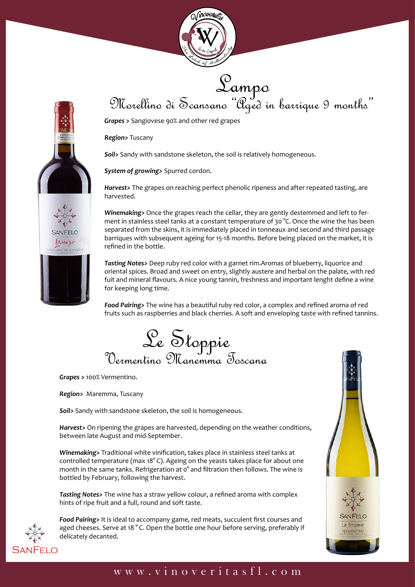



Sampo<br>Morellino di Scansano "Aged in barrique 9 months"

*Grapes >* Sangiovese 90% and other red grapes

*Region>* Tuscany

*Soil>* Sandy with sandstone skeleton, the soil is relatively homogeneous.

*System of growing>* Spurred cordon.

*Harvest>* The grapes on reaching perfect phenolic ripeness and after repeated tasting, are harvested.

*Winemaking>* Once the grapes reach the cellar, they are gently destemmed and left to ferment in stainless steel tanks at a constant temperature of 30 °C. Once the wine the has been separated from the skins, it is immediately placed in tonneaux and second and third passage barriques with subsequent ageing for 15-18 months. Before being placed on the market, it is refined in the bottle.

*Tasting Notes>* Deep ruby red color with a garnet rim.Aromas of blueberry, liquorice and oriental spices. Broad and sweet on entry, slightly austere and herbal on the palate, with red fuit and mineral flavours. A nice young tannin, freshness and important lenght define a wine for keeping long time.

*Food Pairing>* The wine has a beautiful ruby red color, a complex and refined aroma of red fruits such as raspberries and black cherries. A soft and enveloping taste with refined tannins.

Le Stoppie<br>Vermentino Manemma Toscana

*Grapes >* 100% Vermentino.

*Region>* Maremma, Tuscany

*Soil>* Sandy with sandstone skeleton, the soil is homogeneous.

*Harvest>* On ripening the grapes are harvested, depending on the weather conditions, between late August and mid-September.

*Winemaking>* Traditional white vinification, takes place in stainless steel tanks at controlled temperature (max 18° C). Ageing on the yeasts takes place for about one month in the same tanks. Refrigeration at o<sup>o</sup> and filtration then follows. The wine is bottled by February, following the harvest.

*Tasting Notes>* The wine has a straw yellow colour, a refined aroma with complex hints of ripe fruit and a full, round and soft taste.



*Food Pairing>* It is ideal to accompany game, red meats, succulent first courses and aged cheeses. Serve at 18 ° C. Open the bottle one hour before serving, preferably if delicately decanted.



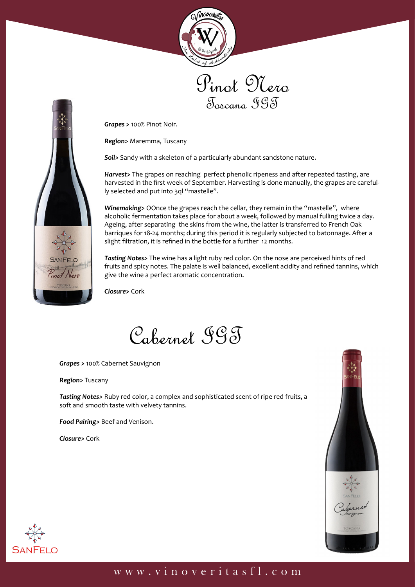





*Grapes >* 100% Pinot Noir.

*Region>* Maremma, Tuscany

*Soil>* Sandy with a skeleton of a particularly abundant sandstone nature.

*Harvest>* The grapes on reaching perfect phenolic ripeness and after repeated tasting, are harvested in the first week of September. Harvesting is done manually, the grapes are carefully selected and put into 3ql "mastelle".

*Winemaking>* OOnce the grapes reach the cellar, they remain in the "mastelle", where alcoholic fermentation takes place for about a week, followed by manual fulling twice a day. Ageing, after separating the skins from the wine, the latter is transferred to French Oak barriques for 18-24 months; during this period it is regularly subjected to batonnage. After a slight filtration, it is refined in the bottle for a further 12 months.

*Tasting Notes>* The wine has a light ruby red color. On the nose are perceived hints of red fruits and spicy notes. The palate is well balanced, excellent acidity and refined tannins, which give the wine a perfect aromatic concentration.

*Closure>* Cork

Cabernet IGT

*Grapes >* 100% Cabernet Sauvignon

*Region>* Tuscany

*Tasting Notes>* Ruby red color, a complex and sophisticated scent of ripe red fruits, a soft and smooth taste with velvety tannins.

*Food Pairing>* Beef and Venison.

*Closure>* Cork



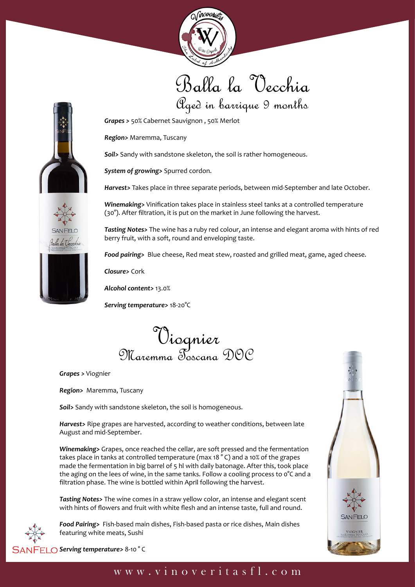

## Balla la Vecchia Aged in barrique 9 months

*Grapes >* 50% Cabernet Sauvignon , 50% Merlot

*Region>* Maremma, Tuscany

*Soil>* Sandy with sandstone skeleton, the soil is rather homogeneous.

*System of growing>* Spurred cordon.

*Harvest>* Takes place in three separate periods, between mid-September and late October.

*Winemaking>* Vinification takes place in stainless steel tanks at a controlled temperature (30°). After filtration, it is put on the market in June following the harvest.

*Tasting Notes>* The wine has a ruby red colour, an intense and elegant aroma with hints of red berry fruit, with a soft, round and enveloping taste.

*Food pairing>* Blue cheese, Red meat stew, roasted and grilled meat, game, aged cheese.

*Closure>* Cork

*Alcohol content>* 13.0%

*Serving temperature>* 18-20°C

Viognier Maremma Toscana DOC

*Grapes >* Viognier

*Region>* Maremma, Tuscany

*Soil>* Sandy with sandstone skeleton, the soil is homogeneous.

*Harvest>* Ripe grapes are harvested, according to weather conditions, between late August and mid-September.

*Winemaking>* Grapes, once reached the cellar, are soft pressed and the fermentation takes place in tanks at controlled temperature (max 18 ° C) and a 10% of the grapes made the fermentation in big barrel of 5 hl with daily batonage. After this, took place the aging on the lees of wine, in the same tanks. Follow a cooling process to  $\degree$ C and a filtration phase. The wine is bottled within April following the harvest.

*Tasting Notes>* The wine comes in a straw yellow color, an intense and elegant scent with hints of flowers and fruit with white flesh and an intense taste, full and round.



*Food Pairing>* Fish-based main dishes, Fish-based pasta or rice dishes, Main dishes featuring white meats, Sushi



*Serving temperature>* 8-10 ° C

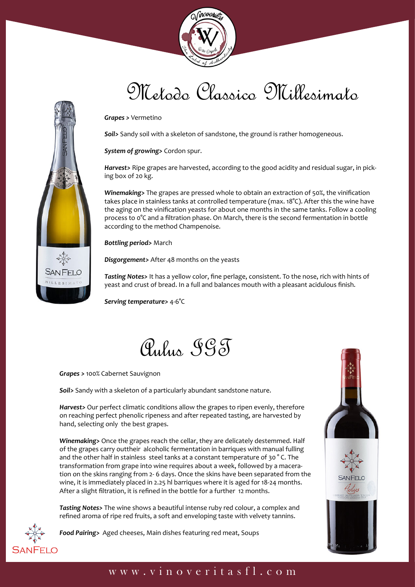

# Metodo Classico Millesimato

*Grapes >* Vermetino

*Soil>* Sandy soil with a skeleton of sandstone, the ground is rather homogeneous.

*System of growing>* Cordon spur.

*Harvest>* Ripe grapes are harvested, according to the good acidity and residual sugar, in picking box of 20 kg.

*Winemaking>* The grapes are pressed whole to obtain an extraction of 50%, the vinification takes place in stainless tanks at controlled temperature (max. 18°C). After this the wine have the aging on the vinification yeasts for about one months in the same tanks. Follow a cooling process to 0°C and a filtration phase. On March, there is the second fermentation in bottle according to the method Champenoise.

*Bottling period>* March

*Disgorgement>* After 48 months on the yeasts

*Tasting Notes>* It has a yellow color, fine perlage, consistent. To the nose, rich with hints of yeast and crust of bread. In a full and balances mouth with a pleasant acidulous finish.

*Serving temperature>* 4-6°C

Aulus IGT

*Grapes >* 100% Cabernet Sauvignon

紫

**SANFELO** MILLESIMAT

*Soil>* Sandy with a skeleton of a particularly abundant sandstone nature.

*Harvest>* Our perfect climatic conditions allow the grapes to ripen evenly, therefore on reaching perfect phenolic ripeness and after repeated tasting, are harvested by hand, selecting only the best grapes.

*Winemaking>* Once the grapes reach the cellar, they are delicately destemmed. Half of the grapes carry outtheir alcoholic fermentation in barriques with manual fulling and the other half in stainless steel tanks at a constant temperature of 30 ° C. The transformation from grape into wine requires about a week, followed by a maceration on the skins ranging from 2- 6 days. Once the skins have been separated from the wine, it is immediately placed in 2.25 hl barriques where it is aged for 18-24 months. After a slight filtration, it is refined in the bottle for a further 12 months.

*Tasting Notes>* The wine shows a beautiful intense ruby red colour, a complex and refined aroma of ripe red fruits, a soft and enveloping taste with velvety tannins.